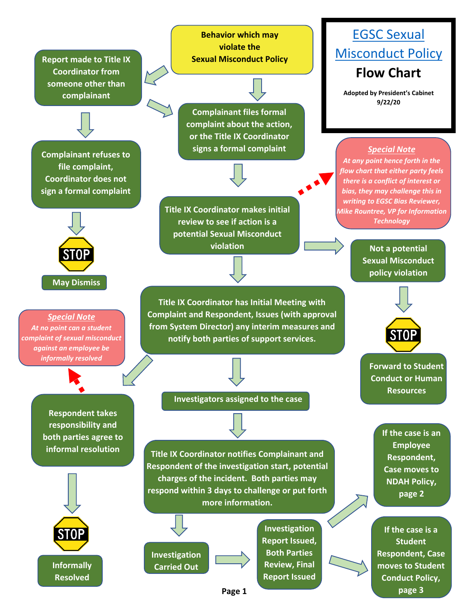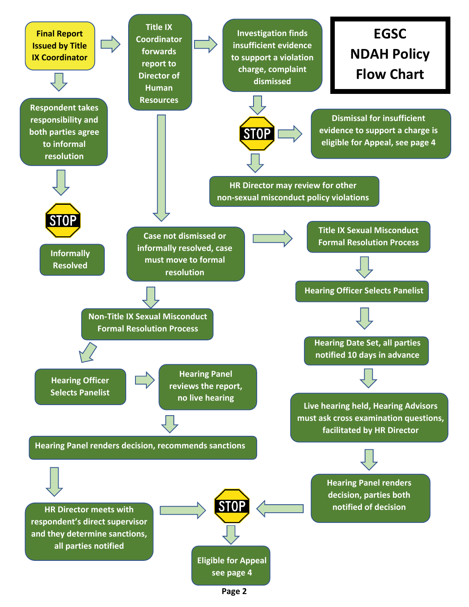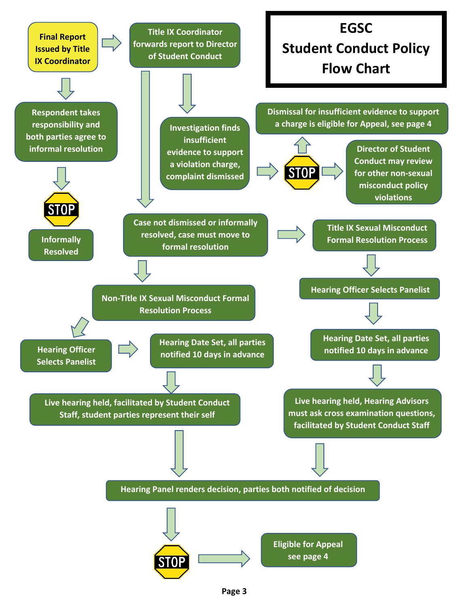